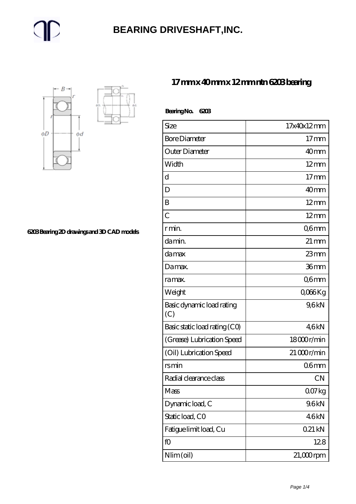### **[BEARING DRIVESHAFT,INC.](https://trendco-vick.com)**



**[6203 Bearing 2D drawings and 3D CAD models](https://trendco-vick.com/pic-412196.html)**

#### **[17 mm x 40 mm x 12 mm ntn 6203 bearing](https://trendco-vick.com/ntn-6203-bearing/)**

| BearingNo.<br>6203               |                    |
|----------------------------------|--------------------|
| Size                             | 17x40x12mm         |
| <b>Bore Diameter</b>             | $17$ mm            |
| Outer Diameter                   | 40 <sub>mm</sub>   |
| Width                            | $12 \text{mm}$     |
| $\mathbf d$                      | $17 \text{mm}$     |
| D                                | 40mm               |
| B                                | $12 \text{mm}$     |
| $\overline{C}$                   | $12 \text{mm}$     |
| r min.                           | Q6mm               |
| da min.                          | $21 \,\mathrm{mm}$ |
| damax                            | $23$ mm            |
| Da max.                          | 36mm               |
| ra max.                          | Q6mm               |
| Weight                           | Q066Kg             |
| Basic dynamic load rating<br>(C) | 9,6kN              |
| Basic static load rating (CO)    | 46kN               |
| (Grease) Lubrication Speed       | 18000r/min         |
| (Oil) Lubrication Speed          | $21000$ r/min      |
| rsmin                            | 06 <sub>mm</sub>   |
| Radial clearance class           | <b>CN</b>          |
| Mass                             | 007kg              |
| Dynamic load, C                  | 9.6kN              |
| Static load, CO                  | 46kN               |
| Fatigue limit load, Cu           | 021 kN             |
| fO                               | 128                |
| Nlim (oil)                       | $21,000$ rpm       |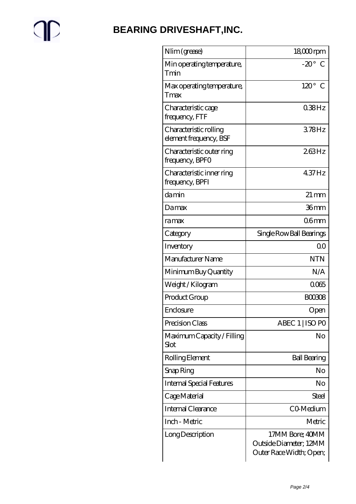$\mathbb{P}$ 

## **[BEARING DRIVESHAFT,INC.](https://trendco-vick.com)**

| Nlim (grease)                                    | $1800$ rpm                                                           |
|--------------------------------------------------|----------------------------------------------------------------------|
| Min operating temperature,<br>Tmin               | $-20^\circ$ C                                                        |
| Max operating temperature,<br>Tmax               | $120^\circ$ C                                                        |
| Characteristic cage<br>frequency, FTF            | $038$ Hz                                                             |
| Characteristic rolling<br>element frequency, BSF | 378Hz                                                                |
| Characteristic outer ring<br>frequency, BPFO     | 263Hz                                                                |
| Characteristic inner ring<br>frequency, BPFI     | 437Hz                                                                |
| damin                                            | $21 \,\mathrm{mm}$                                                   |
| Damax                                            | 36mm                                                                 |
| ramax                                            | 06mm                                                                 |
| Category                                         | Single Row Ball Bearings                                             |
| Inventory                                        | 0 <sub>0</sub>                                                       |
| Manufacturer Name                                | <b>NTN</b>                                                           |
| Minimum Buy Quantity                             | N/A                                                                  |
| Weight / Kilogram                                | 0065                                                                 |
| Product Group                                    | <b>BOO308</b>                                                        |
| Enclosure                                        | Open                                                                 |
| Precision Class                                  | ABEC 1   ISO PO                                                      |
| Maximum Capacity / Filling<br>Slot               | No                                                                   |
| Rolling Element                                  | <b>Ball Bearing</b>                                                  |
| Snap Ring                                        | No                                                                   |
| <b>Internal Special Features</b>                 | No                                                                   |
| Cage Material                                    | <b>Steel</b>                                                         |
| Internal Clearance                               | CO-Medium                                                            |
| Inch - Metric                                    | Metric                                                               |
| Long Description                                 | 17MM Bore; 40MM<br>Outside Diameter; 12MM<br>Outer Race Width; Open; |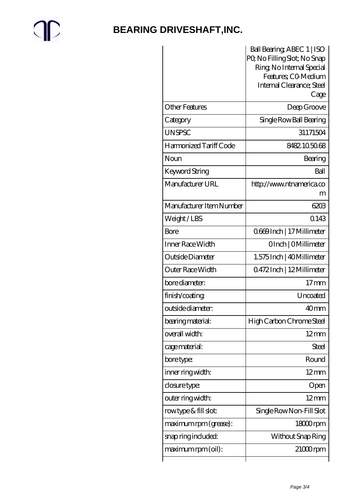# $\mathbb{P}$

## **[BEARING DRIVESHAFT,INC.](https://trendco-vick.com)**

|                          | Ball Bearing ABEC 1   ISO                        |
|--------------------------|--------------------------------------------------|
|                          | PQ No Filling Slot; No Snap                      |
|                          | Ring, No Internal Special<br>Features, CO Medium |
|                          | Internal Clearance; Steel                        |
|                          | Cage                                             |
| <b>Other Features</b>    | Deep Groove                                      |
| Category                 | Single Row Ball Bearing                          |
| <b>UNSPSC</b>            | 31171504                                         |
| Harmonized Tariff Code   | 8482105068                                       |
| Noun                     | Bearing                                          |
| <b>Keyword String</b>    | Ball                                             |
| Manufacturer URL         | http://www.ntnamerica.co                         |
|                          | m                                                |
| Manufacturer Item Number | 6203                                             |
| Weight/LBS               | 0.143                                            |
| Bore                     | 0669Inch   17 Millimeter                         |
| Inner Race Width         | OInch   OMillimeter                              |
| Outside Diameter         | 1.575 Inch   40 Millimeter                       |
| Outer Race Width         | 0472Inch   12Millimeter                          |
| bore diameter:           | $17 \text{mm}$                                   |
| finish/coating           | Uncoated                                         |
| outside diameter:        | 40 <sub>mm</sub>                                 |
| bearing material:        | High Carbon Chrome Steel                         |
| overall width:           | $12 \text{mm}$                                   |
| cage material:           | Steel                                            |
| bore type:               | Round                                            |
| inner ring width:        | $12 \text{mm}$                                   |
| closure type:            | Open                                             |
| outer ring width:        | $12 \text{mm}$                                   |
| rowtype & fill slot:     | Single Row Non-Fill Slot                         |
| maximum rpm (grease):    | 18000rpm                                         |
| snap ring included:      | Without Snap Ring                                |
| maximum rpm (oil):       | $21000$ rpm                                      |
|                          |                                                  |